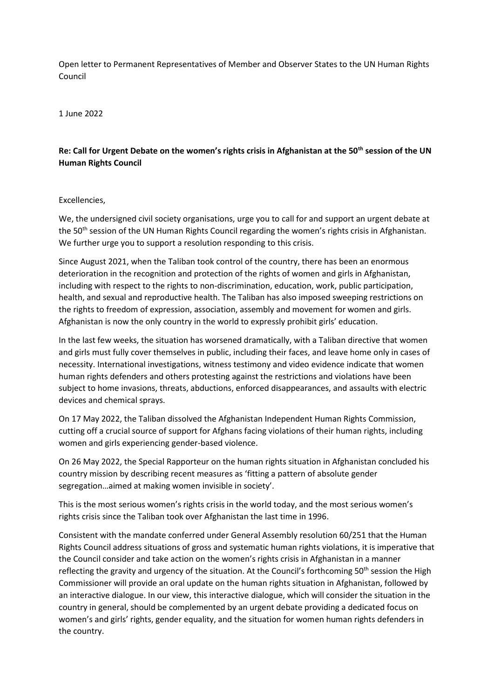Open letter to Permanent Representatives of Member and Observer States to the UN Human Rights Council

1 June 2022

## **Re: Call for Urgent Debate on the women's rights crisis in Afghanistan at the 50th session of the UN Human Rights Council**

## Excellencies,

We, the undersigned civil society organisations, urge you to call for and support an urgent debate at the 50<sup>th</sup> session of the UN Human Rights Council regarding the women's rights crisis in Afghanistan. We further urge you to support a resolution responding to this crisis.

Since August 2021, when the Taliban took control of the country, there has been an enormous deterioration in the recognition and protection of the rights of women and girls in Afghanistan, including with respect to the rights to non-discrimination, education, work, public participation, health, and sexual and reproductive health. The Taliban has also imposed sweeping restrictions on the rights to freedom of expression, association, assembly and movement for women and girls. Afghanistan is now the only country in the world to expressly prohibit girls' education.

In the last few weeks, the situation has worsened dramatically, with a Taliban directive that women and girls must fully cover themselves in public, including their faces, and leave home only in cases of necessity. International investigations, witness testimony and video evidence indicate that women human rights defenders and others protesting against the restrictions and violations have been subject to home invasions, threats, abductions, enforced disappearances, and assaults with electric devices and chemical sprays.

On 17 May 2022, the Taliban dissolved the Afghanistan Independent Human Rights Commission, cutting off a crucial source of support for Afghans facing violations of their human rights, including women and girls experiencing gender-based violence.

On 26 May 2022, the Special Rapporteur on the human rights situation in Afghanistan concluded his country mission by describing recent measures as 'fitting a pattern of absolute gender segregation…aimed at making women invisible in society'.

This is the most serious women's rights crisis in the world today, and the most serious women's rights crisis since the Taliban took over Afghanistan the last time in 1996.

Consistent with the mandate conferred under General Assembly resolution 60/251 that the Human Rights Council address situations of gross and systematic human rights violations, it is imperative that the Council consider and take action on the women's rights crisis in Afghanistan in a manner reflecting the gravity and urgency of the situation. At the Council's forthcoming 50<sup>th</sup> session the High Commissioner will provide an oral update on the human rights situation in Afghanistan, followed by an interactive dialogue. In our view, this interactive dialogue, which will consider the situation in the country in general, should be complemented by an urgent debate providing a dedicated focus on women's and girls' rights, gender equality, and the situation for women human rights defenders in the country.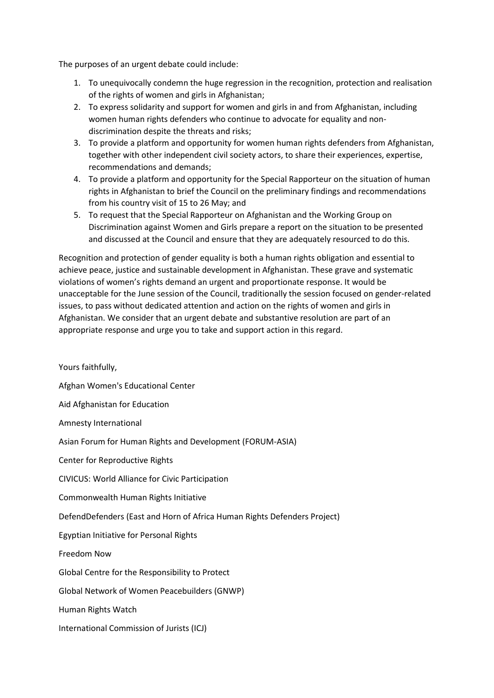The purposes of an urgent debate could include:

- 1. To unequivocally condemn the huge regression in the recognition, protection and realisation of the rights of women and girls in Afghanistan;
- 2. To express solidarity and support for women and girls in and from Afghanistan, including women human rights defenders who continue to advocate for equality and nondiscrimination despite the threats and risks;
- 3. To provide a platform and opportunity for women human rights defenders from Afghanistan, together with other independent civil society actors, to share their experiences, expertise, recommendations and demands;
- 4. To provide a platform and opportunity for the Special Rapporteur on the situation of human rights in Afghanistan to brief the Council on the preliminary findings and recommendations from his country visit of 15 to 26 May; and
- 5. To request that the Special Rapporteur on Afghanistan and the Working Group on Discrimination against Women and Girls prepare a report on the situation to be presented and discussed at the Council and ensure that they are adequately resourced to do this.

Recognition and protection of gender equality is both a human rights obligation and essential to achieve peace, justice and sustainable development in Afghanistan. These grave and systematic violations of women's rights demand an urgent and proportionate response. It would be unacceptable for the June session of the Council, traditionally the session focused on gender-related issues, to pass without dedicated attention and action on the rights of women and girls in Afghanistan. We consider that an urgent debate and substantive resolution are part of an appropriate response and urge you to take and support action in this regard.

Yours faithfully, Afghan Women's Educational Center Aid Afghanistan for Education Amnesty International Asian Forum for Human Rights and Development (FORUM-ASIA) Center for Reproductive Rights CIVICUS: World Alliance for Civic Participation Commonwealth Human Rights Initiative DefendDefenders (East and Horn of Africa Human Rights Defenders Project) Egyptian Initiative for Personal Rights Freedom Now Global Centre for the Responsibility to Protect Global Network of Women Peacebuilders (GNWP) Human Rights Watch International Commission of Jurists (ICJ)